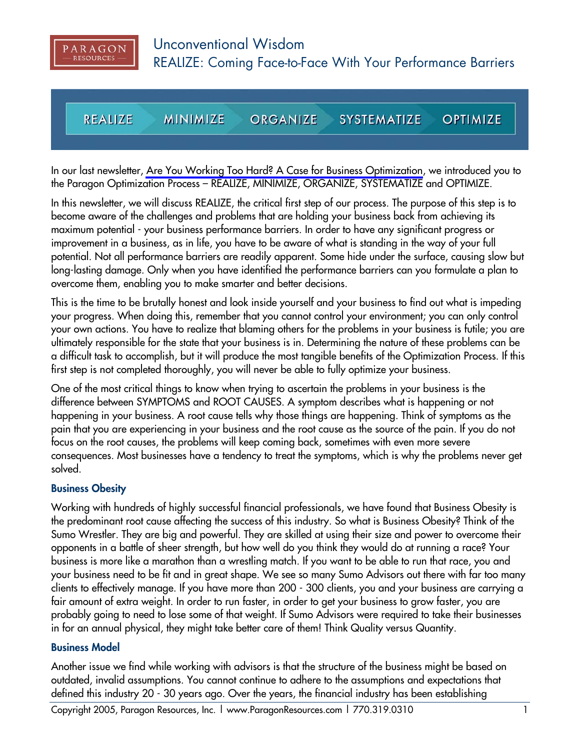

**REALIZE MINIMIZE SYSTEMATIZE OPTIMIZE ORGANIZE** 

In our last newsletter, [Are You Working Too Hard? A Case for Business Optimization,](http://www.ParagonResources.com/library/oyb.pdf) we introduced you to the Paragon Optimization Process – REALIZE, MINIMIZE, ORGANIZE, SYSTEMATIZE and OPTIMIZE.

In this newsletter, we will discuss REALIZE, the critical first step of our process. The purpose of this step is to become aware of the challenges and problems that are holding your business back from achieving its maximum potential - your business performance barriers. In order to have any significant progress or improvement in a business, as in life, you have to be aware of what is standing in the way of your full potential. Not all performance barriers are readily apparent. Some hide under the surface, causing slow but long-lasting damage. Only when you have identified the performance barriers can you formulate a plan to overcome them, enabling you to make smarter and better decisions.

This is the time to be brutally honest and look inside yourself and your business to find out what is impeding your progress. When doing this, remember that you cannot control your environment; you can only control your own actions. You have to realize that blaming others for the problems in your business is futile; you are ultimately responsible for the state that your business is in. Determining the nature of these problems can be a difficult task to accomplish, but it will produce the most tangible benefits of the Optimization Process. If this first step is not completed thoroughly, you will never be able to fully optimize your business.

One of the most critical things to know when trying to ascertain the problems in your business is the difference between SYMPTOMS and ROOT CAUSES. A symptom describes what is happening or not happening in your business. A root cause tells why those things are happening. Think of symptoms as the pain that you are experiencing in your business and the root cause as the source of the pain. If you do not focus on the root causes, the problems will keep coming back, sometimes with even more severe consequences. Most businesses have a tendency to treat the symptoms, which is why the problems never get solved.

#### **Business Obesity**

Working with hundreds of highly successful financial professionals, we have found that Business Obesity is the predominant root cause affecting the success of this industry. So what is Business Obesity? Think of the Sumo Wrestler. They are big and powerful. They are skilled at using their size and power to overcome their opponents in a battle of sheer strength, but how well do you think they would do at running a race? Your business is more like a marathon than a wrestling match. If you want to be able to run that race, you and your business need to be fit and in great shape. We see so many Sumo Advisors out there with far too many clients to effectively manage. If you have more than 200 - 300 clients, you and your business are carrying a fair amount of extra weight. In order to run faster, in order to get your business to grow faster, you are probably going to need to lose some of that weight. If Sumo Advisors were required to take their businesses in for an annual physical, they might take better care of them! Think Quality versus Quantity.

#### **Business Model**

Another issue we find while working with advisors is that the structure of the business might be based on outdated, invalid assumptions. You cannot continue to adhere to the assumptions and expectations that defined this industry 20 - 30 years ago. Over the years, the financial industry has been establishing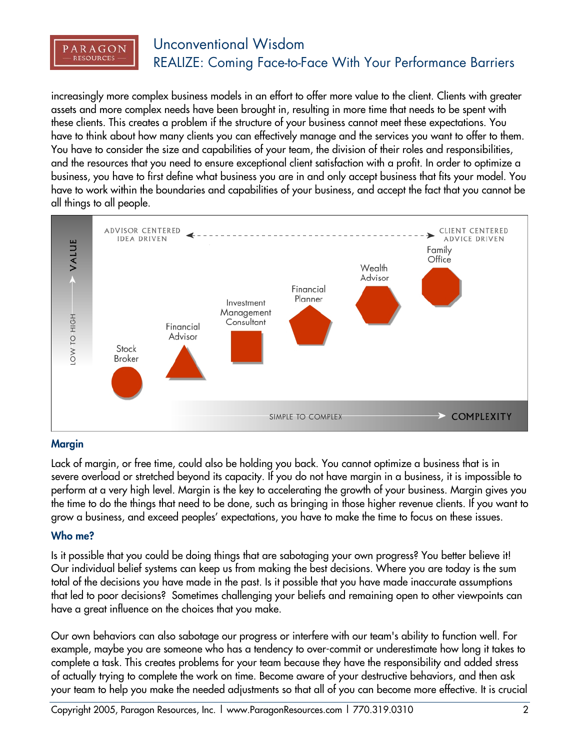

# Unconventional Wisdom REALIZE: Coming Face-to-Face With Your Performance Barriers

increasingly more complex business models in an effort to offer more value to the client. Clients with greater assets and more complex needs have been brought in, resulting in more time that needs to be spent with these clients. This creates a problem if the structure of your business cannot meet these expectations. You have to think about how many clients you can effectively manage and the services you want to offer to them. You have to consider the size and capabilities of your team, the division of their roles and responsibilities, and the resources that you need to ensure exceptional client satisfaction with a profit. In order to optimize a business, you have to first define what business you are in and only accept business that fits your model. You have to work within the boundaries and capabilities of your business, and accept the fact that you cannot be all things to all people.



## **Margin**

Lack of margin, or free time, could also be holding you back. You cannot optimize a business that is in severe overload or stretched beyond its capacity. If you do not have margin in a business, it is impossible to perform at a very high level. Margin is the key to accelerating the growth of your business. Margin gives you the time to do the things that need to be done, such as bringing in those higher revenue clients. If you want to grow a business, and exceed peoples' expectations, you have to make the time to focus on these issues.

## **Who me?**

Is it possible that you could be doing things that are sabotaging your own progress? You better believe it! Our individual belief systems can keep us from making the best decisions. Where you are today is the sum total of the decisions you have made in the past. Is it possible that you have made inaccurate assumptions that led to poor decisions? Sometimes challenging your beliefs and remaining open to other viewpoints can have a great influence on the choices that you make.

Our own behaviors can also sabotage our progress or interfere with our team's ability to function well. For example, maybe you are someone who has a tendency to over-commit or underestimate how long it takes to complete a task. This creates problems for your team because they have the responsibility and added stress of actually trying to complete the work on time. Become aware of your destructive behaviors, and then ask your team to help you make the needed adjustments so that all of you can become more effective. It is crucial